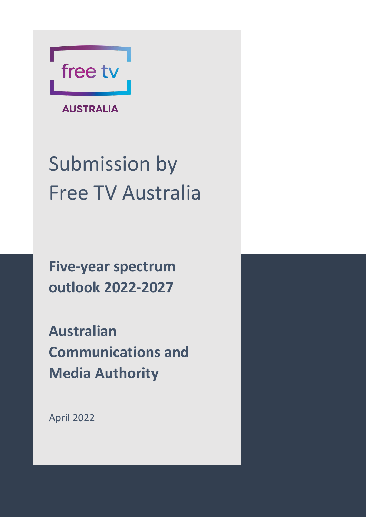

**AUSTRALIA** 

# Submission by Free TV Australia

**Five-year spectrum outlook 2022-2027**

**Australian Communications and Media Authority**

April 2022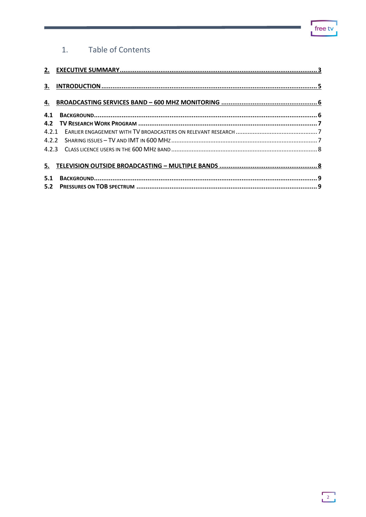#### Table of Contents  $1.$

| 5.2 |  |
|-----|--|
|     |  |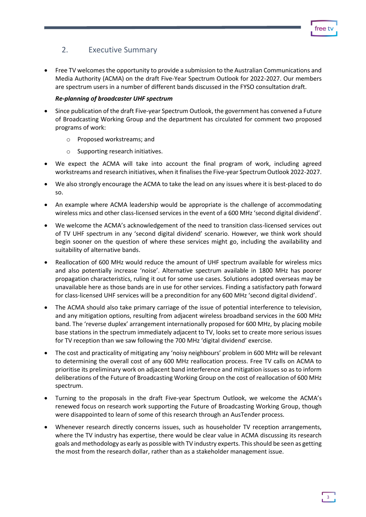# <span id="page-2-0"></span>2. Executive Summary

• Free TV welcomes the opportunity to provide a submission to the Australian Communications and Media Authority (ACMA) on the draft Five-Year Spectrum Outlook for 2022-2027. Our members are spectrum users in a number of different bands discussed in the FYSO consultation draft.

#### *Re-planning of broadcaster UHF spectrum*

- Since publication of the draft Five-year Spectrum Outlook, the government has convened a Future of Broadcasting Working Group and the department has circulated for comment two proposed programs of work:
	- o Proposed workstreams; and
	- o Supporting research initiatives.
- We expect the ACMA will take into account the final program of work, including agreed workstreams and research initiatives, when it finalisesthe Five-year Spectrum Outlook 2022-2027.
- We also strongly encourage the ACMA to take the lead on any issues where it is best-placed to do so.
- An example where ACMA leadership would be appropriate is the challenge of accommodating wireless mics and other class-licensed services in the event of a 600 MHz 'second digital dividend'.
- We welcome the ACMA's acknowledgement of the need to transition class-licensed services out of TV UHF spectrum in any 'second digital dividend' scenario. However, we think work should begin sooner on the question of where these services might go, including the availability and suitability of alternative bands.
- Reallocation of 600 MHz would reduce the amount of UHF spectrum available for wireless mics and also potentially increase 'noise'. Alternative spectrum available in 1800 MHz has poorer propagation characteristics, ruling it out for some use cases. Solutions adopted overseas may be unavailable here as those bands are in use for other services. Finding a satisfactory path forward for class-licensed UHF services will be a precondition for any 600 MHz 'second digital dividend'.
- The ACMA should also take primary carriage of the issue of potential interference to television, and any mitigation options, resulting from adjacent wireless broadband services in the 600 MHz band. The 'reverse duplex' arrangement internationally proposed for 600 MHz, by placing mobile base stations in the spectrum immediately adjacent to TV, looks set to create more serious issues for TV reception than we saw following the 700 MHz 'digital dividend' exercise.
- The cost and practicality of mitigating any 'noisy neighbours' problem in 600 MHz will be relevant to determining the overall cost of any 600 MHz reallocation process. Free TV calls on ACMA to prioritise its preliminary work on adjacent band interference and mitigation issues so as to inform deliberations of the Future of Broadcasting Working Group on the cost of reallocation of 600 MHz spectrum.
- Turning to the proposals in the draft Five-year Spectrum Outlook, we welcome the ACMA's renewed focus on research work supporting the Future of Broadcasting Working Group, though were disappointed to learn of some of this research through an AusTender process.
- Whenever research directly concerns issues, such as householder TV reception arrangements, where the TV industry has expertise, there would be clear value in ACMA discussing its research goals and methodology as early as possible with TV industry experts. This should be seen as getting the most from the research dollar, rather than as a stakeholder management issue.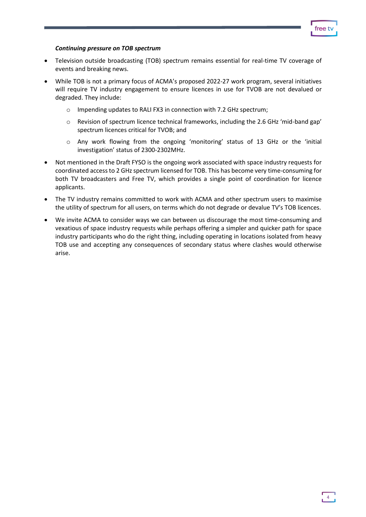#### *Continuing pressure on TOB spectrum*

- Television outside broadcasting (TOB) spectrum remains essential for real-time TV coverage of events and breaking news.
- While TOB is not a primary focus of ACMA's proposed 2022-27 work program, several initiatives will require TV industry engagement to ensure licences in use for TVOB are not devalued or degraded. They include:
	- o Impending updates to RALI FX3 in connection with 7.2 GHz spectrum;
	- o Revision of spectrum licence technical frameworks, including the 2.6 GHz 'mid-band gap' spectrum licences critical for TVOB; and
	- o Any work flowing from the ongoing 'monitoring' status of 13 GHz or the 'initial investigation' status of 2300-2302MHz.
- Not mentioned in the Draft FYSO is the ongoing work associated with space industry requests for coordinated access to 2 GHz spectrum licensed for TOB. This has become very time-consuming for both TV broadcasters and Free TV, which provides a single point of coordination for licence applicants.
- The TV industry remains committed to work with ACMA and other spectrum users to maximise the utility of spectrum for all users, on terms which do not degrade or devalue TV's TOB licences.
- We invite ACMA to consider ways we can between us discourage the most time-consuming and vexatious of space industry requests while perhaps offering a simpler and quicker path for space industry participants who do the right thing, including operating in locations isolated from heavy TOB use and accepting any consequences of secondary status where clashes would otherwise arise.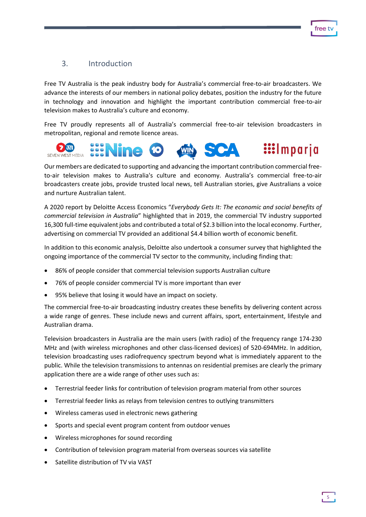# <span id="page-4-0"></span>3. Introduction

Free TV Australia is the peak industry body for Australia's commercial free-to-air broadcasters. We advance the interests of our members in national policy debates, position the industry for the future in technology and innovation and highlight the important contribution commercial free-to-air television makes to Australia's culture and economy.

Free TV proudly represents all of Australia's commercial free-to-air television broadcasters in metropolitan, regional and remote licence areas.



Our members are dedicated to supporting and advancing the important contribution commercial freeto-air television makes to Australia's culture and economy. Australia's commercial free-to-air broadcasters create jobs, provide trusted local news, tell Australian stories, give Australians a voice and nurture Australian talent.

A 2020 report by Deloitte Access Economics "*Everybody Gets It: The economic and social benefits of commercial television in Australia*" highlighted that in 2019, the commercial TV industry supported 16,300 full-time equivalent jobs and contributed a total of \$2.3 billion into the local economy. Further, advertising on commercial TV provided an additional \$4.4 billion worth of economic benefit.

In addition to this economic analysis, Deloitte also undertook a consumer survey that highlighted the ongoing importance of the commercial TV sector to the community, including finding that:

- 86% of people consider that commercial television supports Australian culture
- 76% of people consider commercial TV is more important than ever
- 95% believe that losing it would have an impact on society.

The commercial free-to-air broadcasting industry creates these benefits by delivering content across a wide range of genres. These include news and current affairs, sport, entertainment, lifestyle and Australian drama.

Television broadcasters in Australia are the main users (with radio) of the frequency range 174-230 MHz and (with wireless microphones and other class-licensed devices) of 520-694MHz. In addition, television broadcasting uses radiofrequency spectrum beyond what is immediately apparent to the public. While the television transmissions to antennas on residential premises are clearly the primary application there are a wide range of other uses such as:

- Terrestrial feeder links for contribution of television program material from other sources
- Terrestrial feeder links as relays from television centres to outlying transmitters
- Wireless cameras used in electronic news gathering
- Sports and special event program content from outdoor venues
- Wireless microphones for sound recording
- Contribution of television program material from overseas sources via satellite
- Satellite distribution of TV via VAST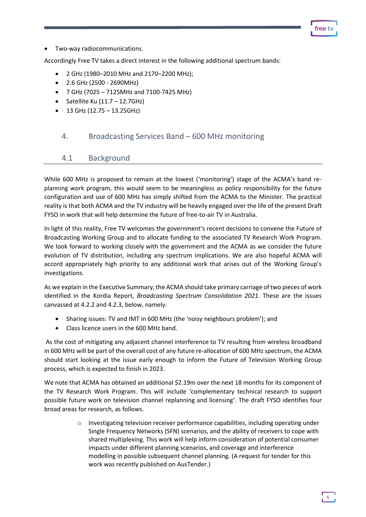free t

• Two-way radiocommunications.

Accordingly Free TV takes a direct interest in the following additional spectrum bands:

- 2 GHz (1980–2010 MHz and 2170–2200 MHz);
- 2.6 GHz (2500 2690MHz)
- $7$  GHz (7025 7125MHz and 7100-7425 MHz)
- Satellite Ku  $(11.7 12.7$ GHz)
- 13 GHz (12.75 13.25GHz)

### <span id="page-5-0"></span>4. Broadcasting Services Band – 600 MHz monitoring

#### <span id="page-5-1"></span>4.1 Background

While 600 MHz is proposed to remain at the lowest ('monitoring') stage of the ACMA's band replanning work program, this would seem to be meaningless as policy responsibility for the future configuration and use of 600 MHz has simply shifted from the ACMA to the Minister. The practical reality is that both ACMA and the TV industry will be heavily engaged over the life of the present Draft FYSO in work that will help determine the future of free-to-air TV in Australia.

In light of this reality, Free TV welcomes the government's recent decisions to convene the Future of Broadcasting Working Group and to allocate funding to the associated TV Research Work Program. We look forward to working closely with the government and the ACMA as we consider the future evolution of TV distribution, including any spectrum implications. We are also hopeful ACMA will accord appropriately high priority to any additional work that arises out of the Working Group's investigations.

As we explain in the Executive Summary, the ACMA should take primary carriage of two pieces of work identified in the Kordia Report, *Broadcasting Spectrum Consolidation 2021.* These are the issues canvassed at 4.2.2 and 4.2.3, below, namely:

- Sharing issues: TV and IMT in 600 MHz (the 'noisy neighbours problem'); and
- Class licence users in the 600 MHz band.

As the cost of mitigating any adjacent channel interference to TV resulting from wireless broadband in 600 MHz will be part of the overall cost of any future re-allocation of 600 MHz spectrum, the ACMA should start looking at the issue early enough to inform the Future of Television Working Group process, which is expected to finish in 2023.

We note that ACMA has obtained an additional \$2.19m over the next 18 months for its component of the TV Research Work Program. This will include 'complementary technical research to support possible future work on television channel replanning and licensing'. The draft FYSO identifies four broad areas for research, as follows.

> $\circ$  Investigating television receiver performance capabilities, including operating under Single Frequency Networks (SFN) scenarios, and the ability of receivers to cope with shared multiplexing. This work will help inform consideration of potential consumer impacts under different planning scenarios, and coverage and interference modelling in possible subsequent channel planning. (A request for tender for this work was recently published on AusTender.)

> > 6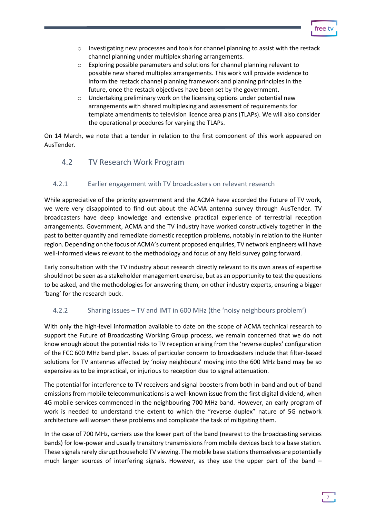- o Investigating new processes and tools for channel planning to assist with the restack channel planning under multiplex sharing arrangements.
- o Exploring possible parameters and solutions for channel planning relevant to possible new shared multiplex arrangements. This work will provide evidence to inform the restack channel planning framework and planning principles in the future, once the restack objectives have been set by the government.
- $\circ$  Undertaking preliminary work on the licensing options under potential new arrangements with shared multiplexing and assessment of requirements for template amendments to television licence area plans (TLAPs). We will also consider the operational procedures for varying the TLAPs.

On 14 March, we note that a tender in relation to the first component of this work appeared on AusTender.

### <span id="page-6-0"></span>4.2 TV Research Work Program

#### <span id="page-6-1"></span>4.2.1 Earlier engagement with TV broadcasters on relevant research

While appreciative of the priority government and the ACMA have accorded the Future of TV work, we were very disappointed to find out about the ACMA antenna survey through AusTender. TV broadcasters have deep knowledge and extensive practical experience of terrestrial reception arrangements. Government, ACMA and the TV industry have worked constructively together in the past to better quantify and remediate domestic reception problems, notably in relation to the Hunter region. Depending on the focus of ACMA's current proposed enquiries, TV network engineers will have well-informed views relevant to the methodology and focus of any field survey going forward.

Early consultation with the TV industry about research directly relevant to its own areas of expertise should not be seen as a stakeholder management exercise, but as an opportunity to test the questions to be asked, and the methodologies for answering them, on other industry experts, ensuring a bigger 'bang' for the research buck.

### <span id="page-6-2"></span>4.2.2 Sharing issues – TV and IMT in 600 MHz (the 'noisy neighbours problem')

With only the high-level information available to date on the scope of ACMA technical research to support the Future of Broadcasting Working Group process, we remain concerned that we do not know enough about the potential risks to TV reception arising from the 'reverse duplex' configuration of the FCC 600 MHz band plan. Issues of particular concern to broadcasters include that filter-based solutions for TV antennas affected by 'noisy neighbours' moving into the 600 MHz band may be so expensive as to be impractical, or injurious to reception due to signal attenuation.

The potential for interference to TV receivers and signal boosters from both in-band and out-of-band emissions from mobile telecommunications is a well-known issue from the first digital dividend, when 4G mobile services commenced in the neighbouring 700 MHz band. However, an early program of work is needed to understand the extent to which the "reverse duplex" nature of 5G network architecture will worsen these problems and complicate the task of mitigating them.

In the case of 700 MHz, carriers use the lower part of the band (nearest to the broadcasting services bands) for low-power and usually transitory transmissions from mobile devices back to a base station. These signals rarely disrupt household TV viewing. The mobile base stations themselves are potentially much larger sources of interfering signals. However, as they use the upper part of the band –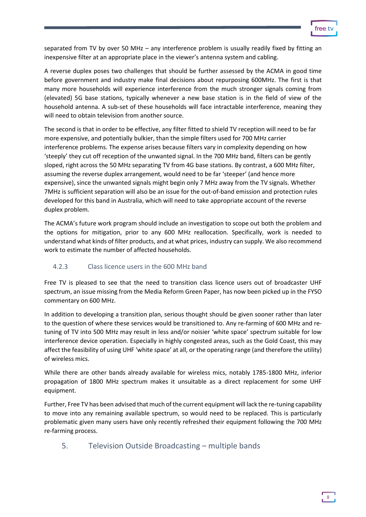separated from TV by over 50 MHz – any interference problem is usually readily fixed by fitting an inexpensive filter at an appropriate place in the viewer's antenna system and cabling.

A reverse duplex poses two challenges that should be further assessed by the ACMA in good time before government and industry make final decisions about repurposing 600MHz. The first is that many more households will experience interference from the much stronger signals coming from (elevated) 5G base stations, typically whenever a new base station is in the field of view of the household antenna. A sub-set of these households will face intractable interference, meaning they will need to obtain television from another source.

The second is that in order to be effective, any filter fitted to shield TV reception will need to be far more expensive, and potentially bulkier, than the simple filters used for 700 MHz carrier interference problems. The expense arises because filters vary in complexity depending on how 'steeply' they cut off reception of the unwanted signal. In the 700 MHz band, filters can be gently sloped, right across the 50 MHz separating TV from 4G base stations. By contrast, a 600 MHz filter, assuming the reverse duplex arrangement, would need to be far 'steeper' (and hence more expensive), since the unwanted signals might begin only 7 MHz away from the TV signals. Whether 7MHz is sufficient separation will also be an issue for the out-of-band emission and protection rules developed for this band in Australia, which will need to take appropriate account of the reverse duplex problem.

The ACMA's future work program should include an investigation to scope out both the problem and the options for mitigation, prior to any 600 MHz reallocation. Specifically, work is needed to understand what kinds of filter products, and at what prices, industry can supply. We also recommend work to estimate the number of affected households.

### <span id="page-7-0"></span>4.2.3 Class licence users in the 600 MHz band

Free TV is pleased to see that the need to transition class licence users out of broadcaster UHF spectrum, an issue missing from the Media Reform Green Paper, has now been picked up in the FYSO commentary on 600 MHz.

In addition to developing a transition plan, serious thought should be given sooner rather than later to the question of where these services would be transitioned to. Any re-farming of 600 MHz and retuning of TV into 500 MHz may result in less and/or noisier 'white space' spectrum suitable for low interference device operation. Especially in highly congested areas, such as the Gold Coast, this may affect the feasibility of using UHF 'white space' at all, or the operating range (and therefore the utility) of wireless mics.

While there are other bands already available for wireless mics, notably 1785-1800 MHz, inferior propagation of 1800 MHz spectrum makes it unsuitable as a direct replacement for some UHF equipment.

Further, Free TV has been advised that much of the current equipment will lack the re-tuning capability to move into any remaining available spectrum, so would need to be replaced. This is particularly problematic given many users have only recently refreshed their equipment following the 700 MHz re-farming process.

## <span id="page-7-1"></span>5. Television Outside Broadcasting – multiple bands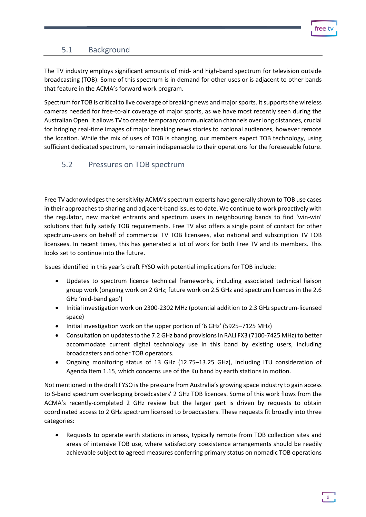# <span id="page-8-0"></span>5.1 Background

The TV industry employs significant amounts of mid- and high-band spectrum for television outside broadcasting (TOB). Some of this spectrum is in demand for other uses or is adjacent to other bands that feature in the ACMA's forward work program.

Spectrum for TOB is critical to live coverage of breaking news and major sports. It supports the wireless cameras needed for free-to-air coverage of major sports, as we have most recently seen during the Australian Open. It allows TV to create temporary communication channels over long distances, crucial for bringing real-time images of major breaking news stories to national audiences, however remote the location. While the mix of uses of TOB is changing, our members expect TOB technology, using sufficient dedicated spectrum, to remain indispensable to their operations for the foreseeable future.

### <span id="page-8-1"></span>5.2 Pressures on TOB spectrum

Free TV acknowledges the sensitivity ACMA's spectrum experts have generally shown to TOB use cases in their approaches to sharing and adjacent-band issues to date. We continue to work proactively with the regulator, new market entrants and spectrum users in neighbouring bands to find 'win-win' solutions that fully satisfy TOB requirements. Free TV also offers a single point of contact for other spectrum-users on behalf of commercial TV TOB licensees, also national and subscription TV TOB licensees. In recent times, this has generated a lot of work for both Free TV and its members. This looks set to continue into the future.

Issues identified in this year's draft FYSO with potential implications for TOB include:

- Updates to spectrum licence technical frameworks, including associated technical liaison group work (ongoing work on 2 GHz; future work on 2.5 GHz and spectrum licences in the 2.6 GHz 'mid-band gap')
- Initial investigation work on 2300-2302 MHz (potential addition to 2.3 GHz spectrum-licensed space)
- Initial investigation work on the upper portion of '6 GHz' (5925–7125 MHz)
- Consultation on updates to the 7.2 GHz band provisions in RALI FX3 (7100-7425 MHz) to better accommodate current digital technology use in this band by existing users, including broadcasters and other TOB operators.
- Ongoing monitoring status of 13 GHz (12.75–13.25 GHz), including ITU consideration of Agenda Item 1.15, which concerns use of the Ku band by earth stations in motion.

Not mentioned in the draft FYSO is the pressure from Australia's growing space industry to gain access to S-band spectrum overlapping broadcasters' 2 GHz TOB licences. Some of this work flows from the ACMA's recently-completed 2 GHz review but the larger part is driven by requests to obtain coordinated access to 2 GHz spectrum licensed to broadcasters. These requests fit broadly into three categories:

• Requests to operate earth stations in areas, typically remote from TOB collection sites and areas of intensive TOB use, where satisfactory coexistence arrangements should be readily achievable subject to agreed measures conferring primary status on nomadic TOB operations